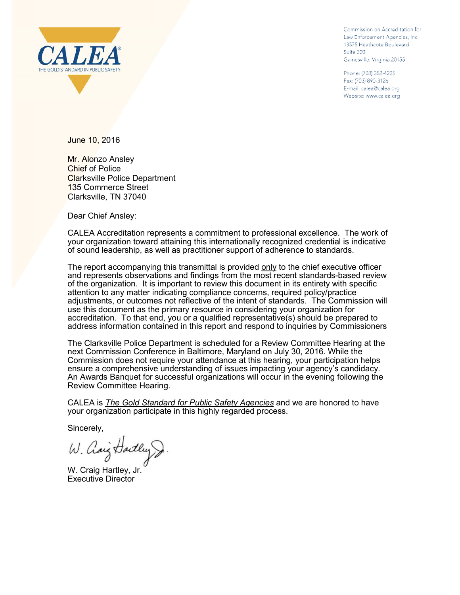

Commission on Accreditation for Law Enforcement Agencies, Inc. 13575 Heathcote Boulevard Suite 320 Gainesville, Virginia 20155

Phone: (703) 352-4225 Fax: (703) 890-3126 E-mail: calea@calea.org Website: www.calea.org

June 10, 2016

Mr. Alonzo Ansley Chief of Police Clarksville Police Department 135 Commerce Street Clarksville, TN 37040

Dear Chief Ansley:

CALEA Accreditation represents a commitment to professional excellence. The work of your organization toward attaining this internationally recognized credential is indicative of sound leadership, as well as practitioner support of adherence to standards.

The report accompanying this transmittal is provided only to the chief executive officer and represents observations and findings from the most recent standards-based review of the organization. It is important to review this document in its entirety with specific attention to any matter indicating compliance concerns, required policy/practice adjustments, or outcomes not reflective of the intent of standards. The Commission will use this document as the primary resource in considering your organization for accreditation. To that end, you or a qualified representative(s) should be prepared to address information contained in this report and respond to inquiries by Commissioners

The Clarksville Police Department is scheduled for a Review Committee Hearing at the next Commission Conference in Baltimore, Maryland on July 30, 2016. While the Commission does not require your attendance at this hearing, your participation helps ensure a comprehensive understanding of issues impacting your agency's candidacy. An Awards Banquet for successful organizations will occur in the evening following the Review Committee Hearing.

CALEA is *The Gold Standard for Public Safety Agencies* and we are honored to have your organization participate in this highly regarded process.

Sincerely,

W. Chaig Hartley &

W. Craig Hartley, Jr. Executive Director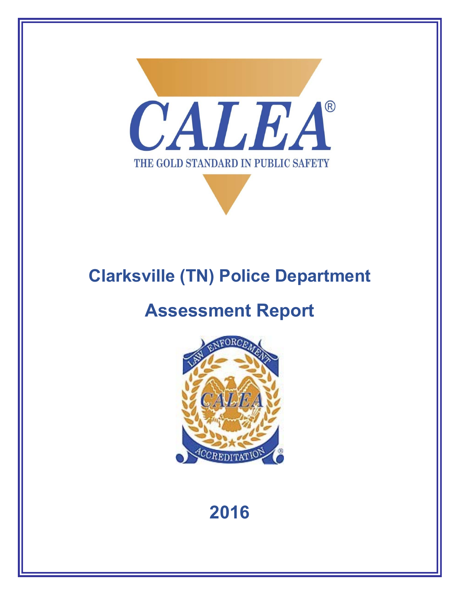

# **Clarksville (TN) Police Department**

# **Assessment Report**



# **2016**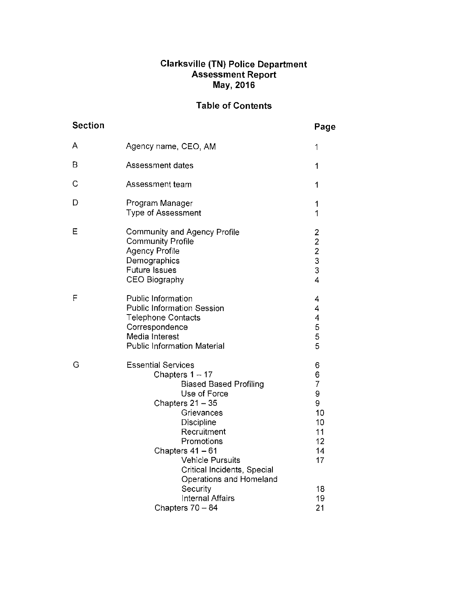# Clarksville (TN) Police Department<br>Assessment Report<br>May, 2016

## **Table of Contents**

| <b>Section</b> |                                                                                                                                                                                                                                                                                                                              | Page                                                                               |
|----------------|------------------------------------------------------------------------------------------------------------------------------------------------------------------------------------------------------------------------------------------------------------------------------------------------------------------------------|------------------------------------------------------------------------------------|
| A              | Agency name, CEO, AM                                                                                                                                                                                                                                                                                                         | 1                                                                                  |
| B              | Assessment dates                                                                                                                                                                                                                                                                                                             | 1                                                                                  |
| C              | Assessment team                                                                                                                                                                                                                                                                                                              | 1                                                                                  |
| D              | Program Manager<br><b>Type of Assessment</b>                                                                                                                                                                                                                                                                                 | 1<br>1                                                                             |
| Ε              | <b>Community and Agency Profile</b><br><b>Community Profile</b><br><b>Agency Profile</b><br>Demographics<br><b>Future Issues</b><br><b>CEO Biography</b>                                                                                                                                                                     | $\overline{\mathbf{c}}$<br>$\begin{array}{c}\n2 \\ 2 \\ 3 \\ 3\n\end{array}$<br>4  |
| F              | <b>Public Information</b><br><b>Public Information Session</b><br><b>Telephone Contacts</b><br>Correspondence<br>Media Interest<br><b>Public Information Material</b>                                                                                                                                                        | 4<br>4<br>4<br>5<br>5<br>5                                                         |
| G              | <b>Essential Services</b><br>Chapters $1 - 17$<br><b>Biased Based Profiling</b><br>Use of Force<br>Chapters 21 - 35<br>Grievances<br>Discipline<br>Recruitment<br>Promotions<br>Chapters 41 - 61<br><b>Vehicle Pursuits</b><br>Critical Incidents, Special<br>Operations and Homeland<br>Security<br><b>Internal Affairs</b> | 6<br>6<br>$\overline{7}$<br>9<br>9<br>10<br>10<br>11<br>12<br>14<br>17<br>18<br>19 |
|                | Chapters $70 - 84$                                                                                                                                                                                                                                                                                                           | 21                                                                                 |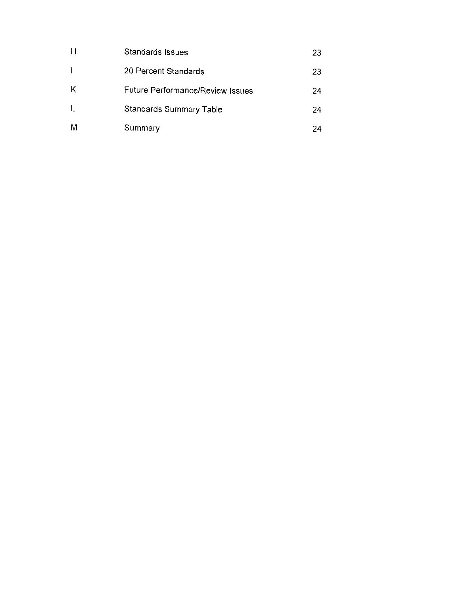| H | Standards Issues                        | 23 |
|---|-----------------------------------------|----|
|   | 20 Percent Standards                    | 23 |
| К | <b>Future Performance/Review Issues</b> | 24 |
| L | Standards Summary Table                 | 24 |
| M | Summary                                 | 24 |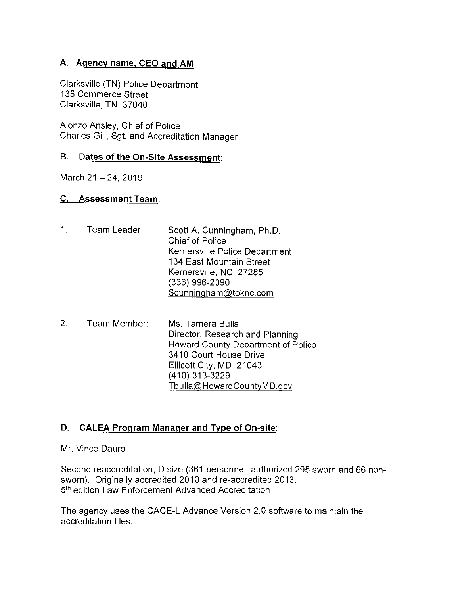#### A. Agency name, CEO and AM

Clarksville (TN) Police Department 135 Commerce Street Clarksville, TN 37040

Alonzo Ansley, Chief of Police Charles Gill, Sgt. and Accreditation Manager

#### B. Dates of the On-Site Assessment:

March 21 - 24, 2016

#### **C.** Assessment Team:

- $1<sub>1</sub>$ Team Leader: Scott A. Cunningham, Ph.D. **Chief of Police** Kernersville Police Department 134 East Mountain Street Kernersville, NC 27285 (336) 996-2390 Scunningham@toknc.com
- $2<sub>1</sub>$ Team Member: Ms. Tamera Bulla Director, Research and Planning Howard County Department of Police 3410 Court House Drive Ellicott City, MD 21043 (410) 313-3229 Tbulla@HowardCountyMD.gov

#### D. CALEA Program Manager and Type of On-site:

Mr. Vince Dauro

Second reaccreditation, D size (361 personnel; authorized 295 sworn and 66 nonsworn). Originally accredited 2010 and re-accredited 2013. 5th edition Law Enforcement Advanced Accreditation

The agency uses the CACE-L Advance Version 2.0 software to maintain the accreditation files.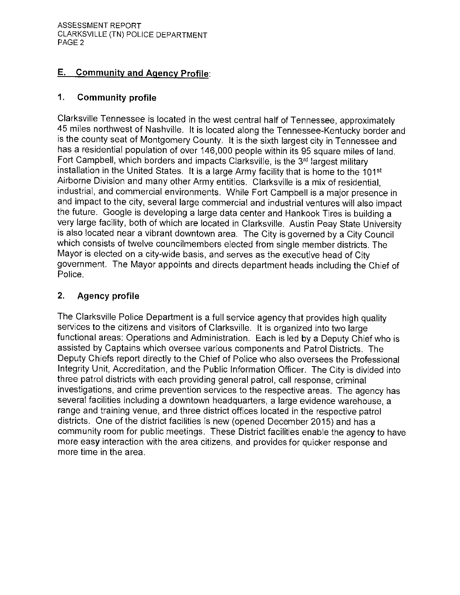## **E.** Community and Agency Profile:

#### $\mathbf{1}$ . **Community profile**

Clarksville Tennessee is located in the west central half of Tennessee, approximately 45 miles northwest of Nashville. It is located along the Tennessee-Kentucky border and is the county seat of Montgomery County. It is the sixth largest city in Tennessee and has a residential population of over 146,000 people within its 95 square miles of land. Fort Campbell, which borders and impacts Ciarksville, is the 3rd largest military installation in the United States. It is a large Army facility that is home to the 101<sup>st</sup> Airborne Division and many other Army entities. Clarksville is a mix of residential, industrial, and commercial environments. While Fort Campbell is a major presence in and impact to the city, several large commercial and industrial ventures will also impact the future. Google is developing a large data center and Hankook Tires is building a very large facility, both of which are located in Clarksville. Austin Peay State University is also located near a vibrant downtown area. The City is governed by a City Council which consists of twelve councilmembers elected from single member districts. The Mayor is elected on a city-wide basis, and serves as the executive head of City government. The Mayor appoints and directs department heads including the Chief of Police

#### $2.$ **Agency profile**

The Clarksville Police Department is a full service agency that provides high quality services to the citizens and visitors of Clarksville. It is organized into two large functional areas: Operations and Administration. Each is led by a Deputy Chief who is assisted by Captains which oversee various components and Patrol Districts. The Deputy Chiefs report directly to the Chief of Police who also oversees the Professional Integrity Unit, Accreditation, and the Public Information Officer. The City is divided into three patrol districts with each providing general patrol, call response, criminal investigations, and crime prevention services to the respective areas. The agency has several facilities including a downtown headquarters, a large evidence warehouse, a range and training venue, and three district offices located in the respective patrol districts. One of the district facilities is new (opened December 2015) and has a community room for public meetings. These District facilities enable the agency to have more easy interaction with the area citizens, and provides for quicker response and more time in the area.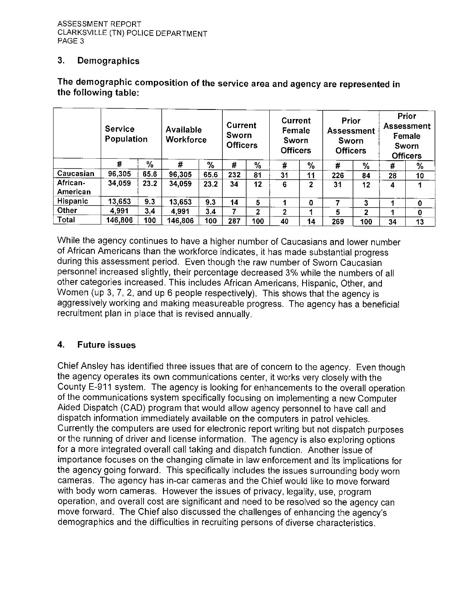#### $3.$ Demographics

|                      | <b>Service</b><br>Population |      | Available<br><b>Workforce</b> |      | <b>Current</b><br>Sworn<br><b>Officers</b> |              | Current<br>Female<br>Sworn<br><b>Officers</b> |    | Prior<br><b>Assessment</b><br>Sworn<br><b>Officers</b> |     |    | Prior<br><b>Assessment</b><br>Female<br><b>Sworn</b><br><b>Officers</b> |
|----------------------|------------------------------|------|-------------------------------|------|--------------------------------------------|--------------|-----------------------------------------------|----|--------------------------------------------------------|-----|----|-------------------------------------------------------------------------|
|                      | #                            | %    | #                             | %    | #                                          | $\%$         | #                                             | %  | #                                                      | %   | #  | $\%$                                                                    |
| Caucasian            | 96,305                       | 65.6 | 96,305                        | 65.6 | 232                                        | 81           | 31                                            | 11 | 226                                                    | 84  | 28 | 10 <sub>1</sub>                                                         |
| African-<br>American | 34,059                       | 23.2 | 34,059                        | 23.2 | 34                                         | 12           | 6                                             | 2  | 31                                                     | 12  | 4  |                                                                         |
| Hispanic             | 13,653                       | 9.3  | 13,653                        | 9.3  | 14                                         | 5            |                                               | 0  |                                                        | 3   |    | 0                                                                       |
| Other                | 4,991                        | 3.4  | 4,991                         | 3.4  |                                            | $\mathbf{2}$ | 2                                             |    | 5                                                      | 2   |    | 0                                                                       |
| <b>Total</b>         | 146,806                      | 100  | 146,806                       | 100  | 287                                        | 100          | 40                                            | 14 | 269                                                    | 100 | 34 | 13                                                                      |

## The demographic composition of the service area and agency are represented in the following table:

While the agency continues to have a higher number of Caucasians and lower number of African Americans than the workforce indicates, it has made substantial progress during this assessment period. Even though the raw number of Sworn Caucasian personnel increased slightly, their percentage decreased 3% while the numbers of all other categories increased. This includes African Americans, Hispanic, Other, and Women (up 3, 7, 2, and up 6 people respectively). This shows that the agency is aggressively working and making measureable progress. The agency has a beneficial recruitment plan in place that is revised annually.

#### $\overline{\mathbf{4}}$ **Future issues**

Chief Ansley has identified three issues that are of concern to the agency. Even though the agency operates its own communications center, it works very closely with the County E-911 system. The agency is looking for enhancements to the overall operation of the communications system specifically focusing on implementing a new Computer Aided Dispatch (CAD) program that would allow agency personnel to have call and dispatch information immediately available on the computers in patrol vehicles. Currently the computers are used for electronic report writing but not dispatch purposes or the running of driver and license information. The agency is also exploring options for a more integrated overall call taking and dispatch function. Another issue of importance focuses on the changing climate in law enforcement and its implications for the agency going forward. This specifically includes the issues surrounding body worn cameras. The agency has in-car cameras and the Chief would like to move forward with body worn cameras. However the issues of privacy, legality, use, program operation, and overall cost are significant and need to be resolved so the agency can move forward. The Chief also discussed the challenges of enhancing the agency's demographics and the difficulties in recruiting persons of diverse characteristics.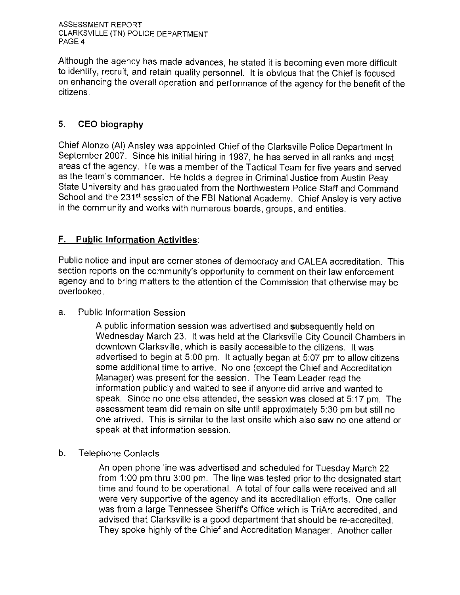Although the agency has made advances, he stated it is becoming even more difficult to identify, recruit, and retain quality personnel. It is obvious that the Chief is focused on enhancing the overall operation and performance of the agency for the benefit of the citizens.

#### 5. **CEO biography**

Chief Alonzo (AI) Ansley was appointed Chief of the Clarksville Police Department in September 2007. Since his initial hiring in 1987, he has served in all ranks and most areas of the agency. He was a member of the Tactical Team for five years and served as the team's commander. He holds a degree in Criminal Justice from Austin Peay State University and has graduated from the Northwestern Police Staff and Command School and the 231<sup>st</sup> session of the FBI National Academy. Chief Ansley is very active in the community and works with numerous boards, groups, and entities.

#### **F.** Public Information Activities:

Public notice and input are corner stones of democracy and CALEA accreditation. This section reports on the community's opportunity to comment on their law enforcement agency and to bring matters to the attention of the Commission that otherwise may be overlooked.

**Public Information Session**  $a$ .

> A public information session was advertised and subsequently held on Wednesday March 23. It was held at the Clarksville City Council Chambers in downtown Clarksville, which is easily accessible to the citizens. It was advertised to begin at 5:00 pm. It actually began at 5:07 pm to allow citizens some additional time to arrive. No one (except the Chief and Accreditation Manager) was present for the session. The Team Leader read the information publicly and waited to see if anyone did arrive and wanted to speak. Since no one else attended, the session was closed at 5:17 pm. The assessment team did remain on site until approximately 5:30 pm but still no one arrived. This is similar to the last onsite which also saw no one attend or speak at that information session.

b. **Telephone Contacts** 

> An open phone line was advertised and scheduled for Tuesday March 22 from 1:00 pm thru 3:00 pm. The line was tested prior to the designated start time and found to be operational. A total of four calls were received and all were very supportive of the agency and its accreditation efforts. One caller was from a large Tennessee Sheriff's Office which is TriArc accredited, and advised that Clarksville is a good department that should be re-accredited. They spoke highly of the Chief and Accreditation Manager. Another caller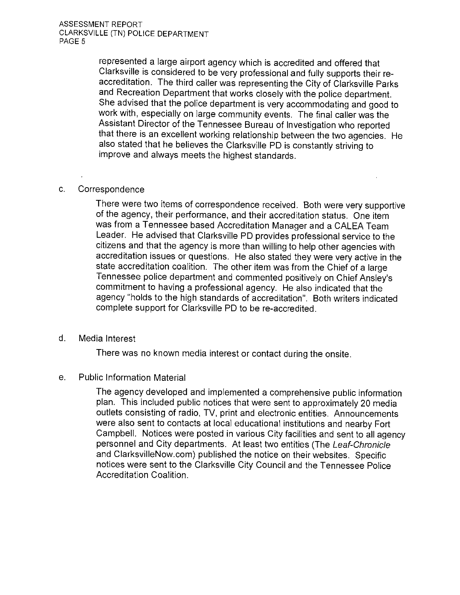represented a large airport agency which is accredited and offered that Clarksville is considered to be very professional and fully supports their reaccreditation. The third caller was representing the City of Clarksville Parks and Recreation Department that works closely with the police department. She advised that the police department is very accommodating and good to work with, especially on large community events. The final caller was the Assistant Director of the Tennessee Bureau of Investigation who reported that there is an excellent working relationship between the two agencies. He also stated that he believes the Clarksville PD is constantly striving to improve and always meets the highest standards.

#### Correspondence C.

There were two items of correspondence received. Both were very supportive of the agency, their performance, and their accreditation status. One item was from a Tennessee based Accreditation Manager and a CALEA Team Leader. He advised that Clarksville PD provides professional service to the citizens and that the agency is more than willing to help other agencies with accreditation issues or questions. He also stated they were very active in the state accreditation coalition. The other item was from the Chief of a large Tennessee police department and commented positively on Chief Ansley's commitment to having a professional agency. He also indicated that the agency "holds to the high standards of accreditation". Both writers indicated complete support for Clarksville PD to be re-accredited.

d. Media Interest

There was no known media interest or contact during the onsite.

#### **Public Information Material**  $e<sub>1</sub>$

The agency developed and implemented a comprehensive public information plan. This included public notices that were sent to approximately 20 media outlets consisting of radio, TV, print and electronic entities. Announcements were also sent to contacts at local educational institutions and nearby Fort Campbell. Notices were posted in various City facilities and sent to all agency personnel and City departments. At least two entities (The Leaf-Chronicle and ClarksvilleNow.com) published the notice on their websites. Specific notices were sent to the Clarksville City Council and the Tennessee Police Accreditation Coalition.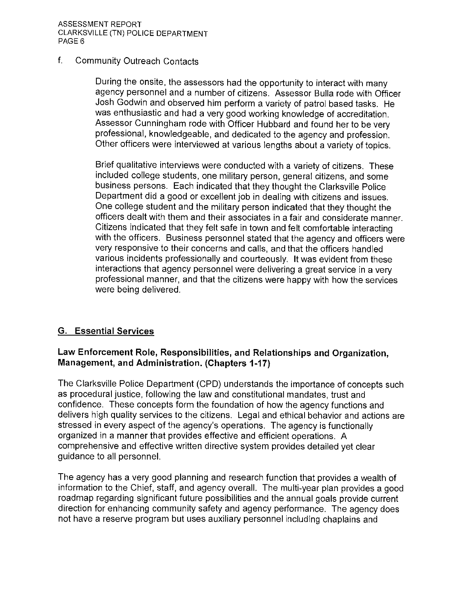#### $f_{\perp}$ **Community Outreach Contacts**

During the onsite, the assessors had the opportunity to interact with many agency personnel and a number of citizens. Assessor Bulla rode with Officer Josh Godwin and observed him perform a variety of patrol based tasks. He was enthusiastic and had a very good working knowledge of accreditation. Assessor Cunningham rode with Officer Hubbard and found her to be very professional, knowledgeable, and dedicated to the agency and profession. Other officers were interviewed at various lengths about a variety of topics.

Brief qualitative interviews were conducted with a variety of citizens. These included college students, one military person, general citizens, and some business persons. Each indicated that they thought the Clarksville Police Department did a good or excellent job in dealing with citizens and issues. One college student and the military person indicated that they thought the officers dealt with them and their associates in a fair and considerate manner. Citizens indicated that they felt safe in town and felt comfortable interacting with the officers. Business personnel stated that the agency and officers were very responsive to their concerns and calls, and that the officers handled various incidents professionally and courteously. It was evident from these interactions that agency personnel were delivering a great service in a very professional manner, and that the citizens were happy with how the services were being delivered.

#### **G. Essential Services**

#### Law Enforcement Role, Responsibilities, and Relationships and Organization, Management, and Administration. (Chapters 1-17)

The Clarksville Police Department (CPD) understands the importance of concepts such as procedural justice, following the law and constitutional mandates, trust and confidence. These concepts form the foundation of how the agency functions and delivers high quality services to the citizens. Legal and ethical behavior and actions are stressed in every aspect of the agency's operations. The agency is functionally organized in a manner that provides effective and efficient operations. A comprehensive and effective written directive system provides detailed yet clear guidance to all personnel.

The agency has a very good planning and research function that provides a wealth of information to the Chief, staff, and agency overall. The multi-year plan provides a good roadmap regarding significant future possibilities and the annual goals provide current direction for enhancing community safety and agency performance. The agency does not have a reserve program but uses auxiliary personnel including chaplains and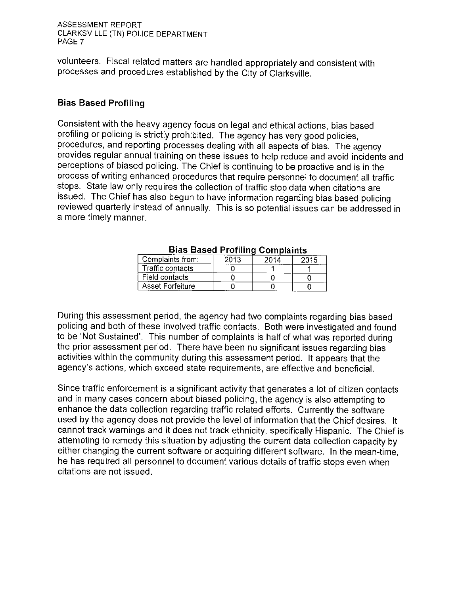volunteers. Fiscal related matters are handled appropriately and consistent with processes and procedures established by the City of Clarksville.

#### **Bias Based Profiling**

Consistent with the heavy agency focus on legal and ethical actions, bias based profiling or policing is strictly prohibited. The agency has very good policies, procedures, and reporting processes dealing with all aspects of bias. The agency provides regular annual training on these issues to help reduce and avoid incidents and perceptions of biased policing. The Chief is continuing to be proactive and is in the process of writing enhanced procedures that require personnel to document all traffic stops. State law only requires the collection of traffic stop data when citations are issued. The Chief has also begun to have information regarding bias based policing reviewed quarterly instead of annually. This is so potential issues can be addressed in a more timely manner.

|                  |      | vviilisiulitu |      |
|------------------|------|---------------|------|
| Complaints from: | 2013 | 2014          | 2015 |
| Traffic contacts |      |               |      |
| Field contacts   |      |               |      |
| Asset Forfeiture |      |               |      |

|  |  |  |  | <b>Bias Based Profiling Complaints</b> |
|--|--|--|--|----------------------------------------|
|--|--|--|--|----------------------------------------|

During this assessment period, the agency had two complaints regarding bias based policing and both of these involved traffic contacts. Both were investigated and found to be 'Not Sustained'. This number of complaints is half of what was reported during the prior assessment period. There have been no significant issues regarding bias activities within the community during this assessment period. It appears that the agency's actions, which exceed state requirements, are effective and beneficial.

Since traffic enforcement is a significant activity that generates a lot of citizen contacts and in many cases concern about biased policing, the agency is also attempting to enhance the data collection regarding traffic related efforts. Currently the software used by the agency does not provide the level of information that the Chief desires. It cannot track warnings and it does not track ethnicity, specifically Hispanic. The Chief is attempting to remedy this situation by adjusting the current data collection capacity by either changing the current software or acquiring different software. In the mean-time. he has required all personnel to document various details of traffic stops even when citations are not issued.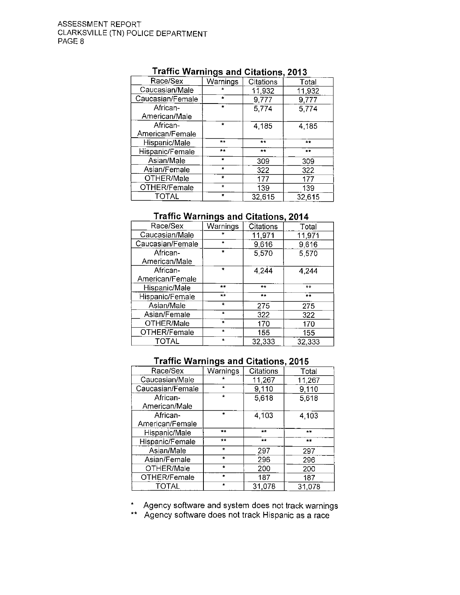| Race/Sex         | Warnings        | Citations | Total    |
|------------------|-----------------|-----------|----------|
| Caucasian/Male   |                 | 11,932    | 11,932   |
| Caucasian/Female | $\star$         | 9,777     | 9,777    |
| African-         | $\mathbf{r}$    | 5,774     | 5,774    |
| American/Male    |                 |           |          |
| African-         | $\star$         | 4,185     | 4,185    |
| American/Female  |                 |           |          |
| Hispanic/Male    | $\star$ $\star$ | $+ +$     | $\pm\pm$ |
| Hispanic/Female  | $+ +$           | $+ +$     | $+1$     |
| Asian/Male       | $\bullet$       | 309       | 309      |
| Asian/Female     | $\bullet$       | 322       | 322      |
| OTHER/Male       | $\star$         | 177       | 177      |
| OTHER/Female     | $\star$         | 139       | 139      |
| TOTAL            | $\bullet$       | 32,615    | 32.615   |

#### Traffic Warnings and Citations 2013

#### **Traffic Warnings and Citations, 2014**

| Race/Sex         | Warnings             | Citations | Total  |
|------------------|----------------------|-----------|--------|
| Caucasian/Male   |                      | 11,971    | 11,971 |
| Caucasian/Female | $\bullet$            | 9,616     | 9,616  |
| African-         | ٠                    | 5,570     | 5,570  |
| American/Male    |                      |           |        |
| African-         | $\bullet$            | 4,244     | 4,244  |
| American/Female  |                      |           |        |
| Hispanic/Male    | $\mathbf{w}$         | $**$      | $***$  |
| Hispanic/Female  | $+ +$                | $***$     | $+ +$  |
| Asian/Male       | $\pm$                | 275       | 275    |
| Asian/Female     | $\star$              | 322       | 322    |
| OTHER/Male       | $\ddot{\phantom{1}}$ | 170       | 170    |
| OTHER/Female     | $\star$              | 155       | 155    |
| TOTAL            | $\star$              | 32,333    | 32.333 |

#### **Traffic Warnings and Citations, 2015**

| Race/Sex         | Warnings    | <b>Citations</b> | Total        |
|------------------|-------------|------------------|--------------|
| Caucasian/Male   |             | 11,267           | 11,267       |
| Caucasian/Female | $\star$     | 9,110            | 9,110        |
| African-         | $\star$     | 5,618            | 5,618        |
| American/Male    |             |                  |              |
| African-         | ٠           | 4,103            | 4,103        |
| American/Female  |             |                  |              |
| Hispanic/Male    | $\pm \star$ | $\mathbf{u}$     | $\mathbf{w}$ |
| Hispanic/Female  | $+ +$       | <b>WW</b>        | $\pm\pm$     |
| Asian/Male       | $\star$     | 297              | 297          |
| Asian/Female     | $\star$     | 296              | 296          |
| OTHER/Male       | $\star$     | 200              | 200          |
| OTHER/Female     | $\bullet$   | 187              | 187          |
| TOTAL            | $\star$     | 31,078           | 31.078       |

\* Agency software and system does not track warnings<br>\*\* Agency software does not track Hispanic as a race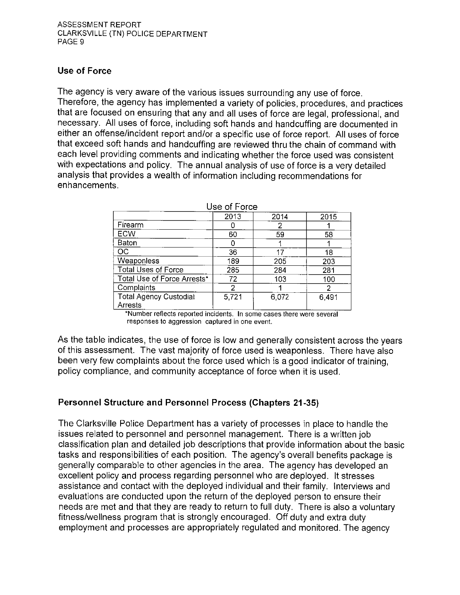## **Use of Force**

The agency is very aware of the various issues surrounding any use of force. Therefore, the agency has implemented a variety of policies, procedures, and practices that are focused on ensuring that any and all uses of force are legal, professional, and necessary. All uses of force, including soft hands and handcuffing are documented in either an offense/incident report and/or a specific use of force report. All uses of force that exceed soft hands and handcuffing are reviewed thru the chain of command with each level providing comments and indicating whether the force used was consistent with expectations and policy. The annual analysis of use of force is a very detailed analysis that provides a wealth of information including recommendations for enhancements.

| use or Force                             |       |       |       |  |  |
|------------------------------------------|-------|-------|-------|--|--|
|                                          | 2013  | 2014  | 2015  |  |  |
| Firearm                                  |       |       |       |  |  |
| <b>ECW</b>                               | 60    | 59    | 58    |  |  |
| Baton                                    |       |       |       |  |  |
| OC                                       | 36    | 17    | 18    |  |  |
| Weaponless                               | 189   | 205   | 203   |  |  |
| <b>Total Uses of Force</b>               | 285   | 284   | 281   |  |  |
| Total Use of Force Arrests*              | 72    | 103   | 100   |  |  |
| Complaints                               |       |       | 2     |  |  |
| <b>Total Agency Custodial</b><br>Arrests | 5,721 | 6,072 | 6,491 |  |  |

|  |  | Use of Force |
|--|--|--------------|
|--|--|--------------|

\*Number reflects reported incidents. In some cases there were several responses to aggression captured in one event.

As the table indicates, the use of force is low and generally consistent across the years of this assessment. The vast majority of force used is weaponless. There have also been very few complaints about the force used which is a good indicator of training, policy compliance, and community acceptance of force when it is used.

#### **Personnel Structure and Personnel Process (Chapters 21-35)**

The Clarksville Police Department has a variety of processes in place to handle the issues related to personnel and personnel management. There is a written job classification plan and detailed job descriptions that provide information about the basic tasks and responsibilities of each position. The agency's overall benefits package is generally comparable to other agencies in the area. The agency has developed an excellent policy and process regarding personnel who are deployed. It stresses assistance and contact with the deployed individual and their family. Interviews and evaluations are conducted upon the return of the deployed person to ensure their needs are met and that they are ready to return to full duty. There is also a voluntary fitness/wellness program that is strongly encouraged. Off duty and extra duty employment and processes are appropriately regulated and monitored. The agency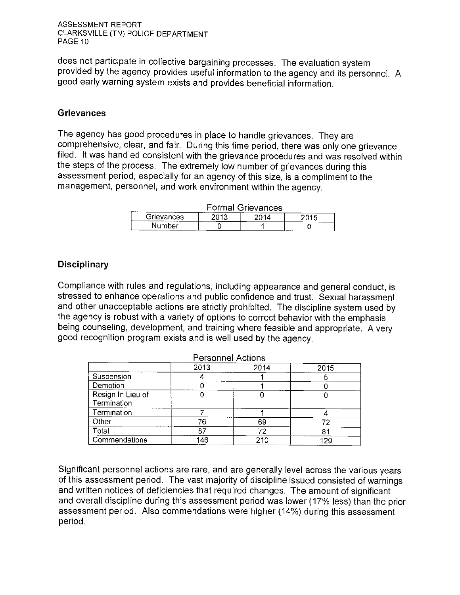does not participate in collective bargaining processes. The evaluation system provided by the agency provides useful information to the agency and its personnel. A good early warning system exists and provides beneficial information.

#### **Grievances**

The agency has good procedures in place to handle grievances. They are comprehensive, clear, and fair. During this time period, there was only one grievance filed. It was handled consistent with the grievance procedures and was resolved within the steps of the process. The extremely low number of grievances during this assessment period, especially for an agency of this size, is a compliment to the management, personnel, and work environment within the agency.

| <b>Formal Grievances</b> |      |      |      |  |  |  |  |
|--------------------------|------|------|------|--|--|--|--|
| Grievances               | 2013 | 2014 | 2015 |  |  |  |  |
| Number                   |      |      |      |  |  |  |  |

#### Disciplinary

Compliance with rules and regulations, including appearance and general conduct, is stressed to enhance operations and public confidence and trust. Sexual harassment and other unacceptable actions are strictly prohibited. The discipline system used by the agency is robust with a variety of options to correct behavior with the emphasis being counseling, development, and training where feasible and appropriate. A very good recognition program exists and is well used by the agency.

| Personnel Actions                |      |      |      |  |  |
|----------------------------------|------|------|------|--|--|
|                                  | 2013 | 2014 | 2015 |  |  |
| Suspension                       |      |      |      |  |  |
| Demotion                         |      |      |      |  |  |
| Resign In Lieu of<br>Termination |      |      |      |  |  |
| Termination                      |      |      |      |  |  |
| Other                            | 76   | 69   |      |  |  |
| Total                            | 87   | 72   | 81   |  |  |
| Commendations                    | 146  | 210  |      |  |  |

Significant personnel actions are rare, and are generally level across the various years of this assessment period. The vast majority of discipline issued consisted of warnings and written notices of deficiencies that required changes. The amount of significant and overall discipline during this assessment period was lower (17% less) than the prior assessment period. Also commendations were higher (14%) during this assessment period.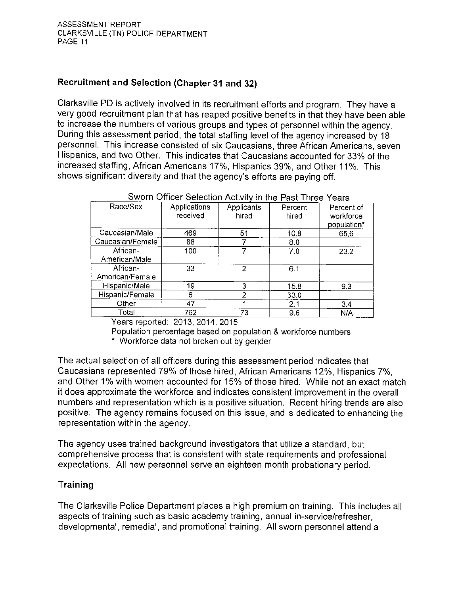## **Recruitment and Selection (Chapter 31 and 32)**

Clarksville PD is actively involved in its recruitment efforts and program. They have a very good recruitment plan that has reaped positive benefits in that they have been able to increase the numbers of various groups and types of personnel within the agency. During this assessment period, the total staffing level of the agency increased by 18 personnel. This increase consisted of six Caucasians, three African Americans, seven Hispanics, and two Other. This indicates that Caucasians accounted for 33% of the increased staffing, African Americans 17%, Hispanics 39%, and Other 11%. This shows significant diversity and that the agency's efforts are paying off.

| <b>SWOTH OTHCH SERGION ACTIVITY IN THE PAST LINES</b><br>rears |                     |            |         |             |
|----------------------------------------------------------------|---------------------|------------|---------|-------------|
| Race/Sex                                                       | <b>Applications</b> | Applicants | Percent | Percent of  |
|                                                                | received            | hired      | hired   | workforce   |
|                                                                |                     |            |         | population* |
|                                                                |                     |            |         |             |
| Caucasian/Male                                                 | 469                 | 51         | 10.8    | 656         |
| Caucasian/Female                                               | 88                  |            | 8.0     |             |
| African-                                                       | 100                 |            | 7.0     | 23.2        |
| American/Male                                                  |                     |            |         |             |
| African-                                                       | 33                  | 2          | 6.1     |             |
| American/Female                                                |                     |            |         |             |
| Hispanic/Male                                                  | 19                  | 3          | 15.8    | 9.3         |
| Hispanic/Female                                                | 6                   | 2          | 33.0    |             |
| Other                                                          | 47                  |            | 2.1     | 3.4         |
| Total                                                          | 762                 | 73         | 9.6     | N/A         |

## Swarn Officer Selection Activity in the Dost Three Vegre

Years reported: 2013, 2014, 2015

Population percentage based on population & workforce numbers

\* Workforce data not broken out by gender

The actual selection of all officers during this assessment period indicates that Caucasians represented 79% of those hired, African Americans 12%, Hispanics 7%, and Other 1% with women accounted for 15% of those hired. While not an exact match it does approximate the workforce and indicates consistent improvement in the overall numbers and representation which is a positive situation. Recent hiring trends are also positive. The agency remains focused on this issue, and is dedicated to enhancing the representation within the agency.

The agency uses trained background investigators that utilize a standard, but comprehensive process that is consistent with state requirements and professional expectations. All new personnel serve an eighteen month probationary period.

#### Training

The Clarksville Police Department places a high premium on training. This includes all aspects of training such as basic academy training, annual in-service/refresher, developmental, remedial, and promotional training. All sworn personnel attend a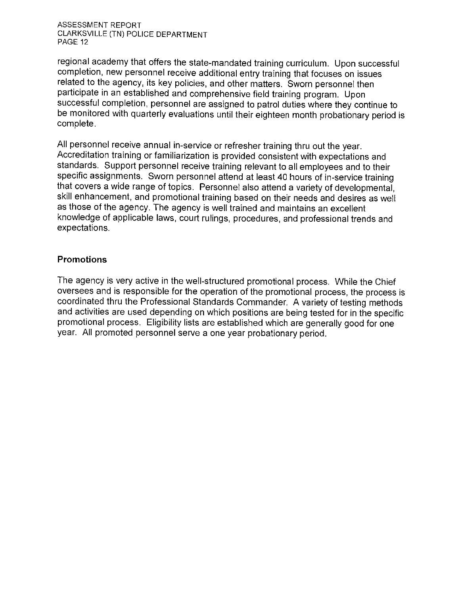regional academy that offers the state-mandated training curriculum. Upon successful completion, new personnel receive additional entry training that focuses on issues related to the agency, its key policies, and other matters. Sworn personnel then participate in an established and comprehensive field training program. Upon successful completion, personnel are assigned to patrol duties where they continue to be monitored with quarterly evaluations until their eighteen month probationary period is complete.

All personnel receive annual in-service or refresher training thru out the year. Accreditation training or familiarization is provided consistent with expectations and standards. Support personnel receive training relevant to all employees and to their specific assignments. Sworn personnel attend at least 40 hours of in-service training that covers a wide range of topics. Personnel also attend a variety of developmental, skill enhancement, and promotional training based on their needs and desires as well as those of the agency. The agency is well trained and maintains an excellent knowledge of applicable laws, court rulings, procedures, and professional trends and expectations.

#### **Promotions**

The agency is very active in the well-structured promotional process. While the Chief oversees and is responsible for the operation of the promotional process, the process is coordinated thru the Professional Standards Commander. A variety of testing methods and activities are used depending on which positions are being tested for in the specific promotional process. Eligibility lists are established which are generally good for one year. All promoted personnel serve a one year probationary period.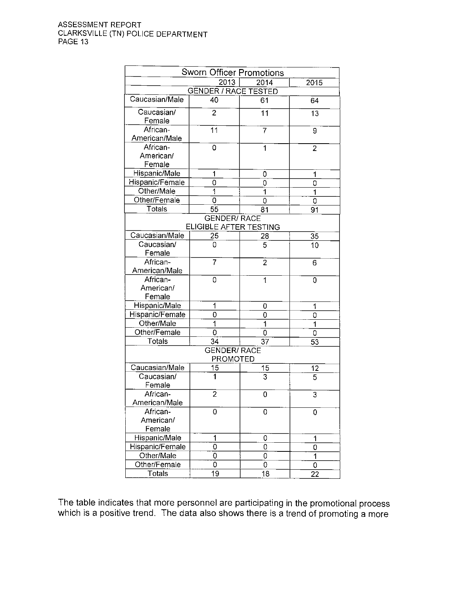|                                        | Sworn Officer Promotions    |      |                 |  |
|----------------------------------------|-----------------------------|------|-----------------|--|
|                                        | 2013                        | 2014 | 2015            |  |
|                                        | <b>GENDER / RACE TESTED</b> |      |                 |  |
| Caucasian/Male                         | 40                          | 61   | 64              |  |
| Caucasian/<br>Female                   | $\overline{2}$              | 11   | $\overline{13}$ |  |
| African-<br>American/Male              | 11                          | 7    | 9               |  |
| African-<br>American/<br>Female        | 0                           | 1    | $\overline{2}$  |  |
| Hispanic/Male                          | 1                           | 0    | 1               |  |
| Hispanic/Female                        | 0                           | 0    | 0               |  |
| Other/Male                             | 1                           | 1    | 1               |  |
| Other/Female                           | 0                           | 0    | 0               |  |
| Totals                                 | 55                          | 81   | 91              |  |
|                                        | <b>GENDER/ RACE</b>         |      |                 |  |
|                                        | ELIGIBLE AFTER TESTING      |      |                 |  |
| Caucasian/Male                         | 25                          | 28   | 35              |  |
| Caucasian/<br>Female                   | 0                           | 5    | 10              |  |
| African-<br>American/Male              | $\overline{7}$              | 2    | 6               |  |
| African-<br>American/<br>Female        | 0                           | 1    | 0               |  |
| Hispanic/Male                          | 1                           | 0    | 1               |  |
| Hispanic/Female                        | 0                           | 0    | 0               |  |
| Other/Male                             | $\overline{\mathbf{1}}$     | 1    | 1               |  |
| Other/Female                           | 0                           | 0    | 0               |  |
| Totals                                 | 34                          | 37   | 53              |  |
| <b>GENDER/ RACE</b><br><b>PROMOTED</b> |                             |      |                 |  |
| Caucasian/Male                         | 15                          | 15   |                 |  |
| Caucasian/<br>Female                   | 1                           | 3    | $\frac{12}{5}$  |  |
| African-<br>American/Male              | $\overline{2}$              | 0    | 3               |  |
| African-<br>American/<br>Female        | 0                           | 0    | 0               |  |
| Hispanic/Male                          | 1                           | 0    | 1               |  |
| Hispanic/Female                        | 0                           | 0    | 0               |  |
| Other/Male                             | 0                           | 0    | 1               |  |
| Other/Female                           | 0                           | 0    | 0               |  |
| <b>Totals</b>                          | $\overline{19}$             | 18   | 22              |  |

The table indicates that more personnel are participating in the promotional process which is a positive trend. The data also shows there is a trend of promoting a more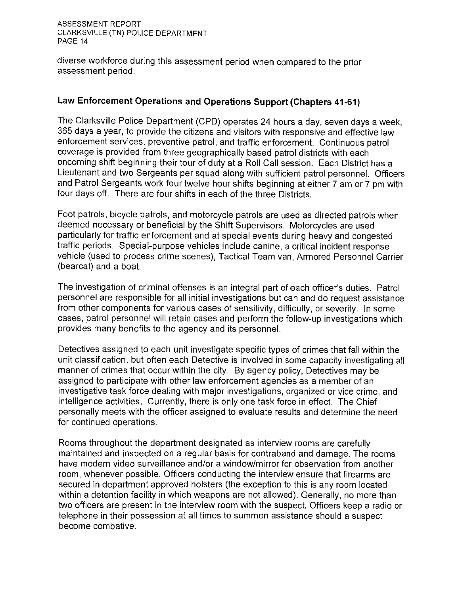diverse workforce during this assessment period when compared to the prior assessment period.

## Law Enforcement Operations and Operations Support (Chapters 41-61)

The Clarksville Police Department (CPD) operates 24 hours a day, seven days a week, 365 days a year, to provide the citizens and visitors with responsive and effective law enforcement services, preventive patrol, and traffic enforcement. Continuous patrol coverage is provided from three geographically based patrol districts with each oncoming shift beginning their tour of duty at a Roll Call session. Each District has a Lieutenant and two Sergeants per squad along with sufficient patrol personnel. Officers and Patrol Sergeants work four twelve hour shifts beginning at either 7 am or 7 pm with four days off. There are four shifts in each of the three Districts.

Foot patrols, bicycle patrols, and motorcycle patrols are used as directed patrols when deemed necessary or beneficial by the Shift Supervisors. Motorcycles are used particularly for traffic enforcement and at special events during heavy and congested traffic periods. Special-purpose vehicles include canine, a critical incident response vehicle (used to process crime scenes), Tactical Team van, Armored Personnel Carrier (bearcat) and a boat.

The investigation of criminal offenses is an integral part of each officer's duties. Patrol personnel are responsible for all initial investigations but can and do request assistance from other components for various cases of sensitivity, difficulty, or severity. In some cases, patrol personnel will retain cases and perform the follow-up investigations which provides many benefits to the agency and its personnel.

Detectives assigned to each unit investigate specific types of crimes that fall within the unit classification, but often each Detective is involved in some capacity investigating all manner of crimes that occur within the city. By agency policy, Detectives may be assigned to participate with other law enforcement agencies as a member of an investigative task force dealing with major investigations, organized or vice crime, and intelligence activities. Currently, there is only one task force in effect. The Chief personally meets with the officer assigned to evaluate results and determine the need for continued operations.

Rooms throughout the department designated as interview rooms are carefully maintained and inspected on a regular basis for contraband and damage. The rooms have modern video surveillance and/or a window/mirror for observation from another room, whenever possible. Officers conducting the interview ensure that firearms are secured in department approved holsters (the exception to this is any room located within a detention facility in which weapons are not allowed). Generally, no more than two officers are present in the interview room with the suspect. Officers keep a radio or telephone in their possession at all times to summon assistance should a suspect become combative.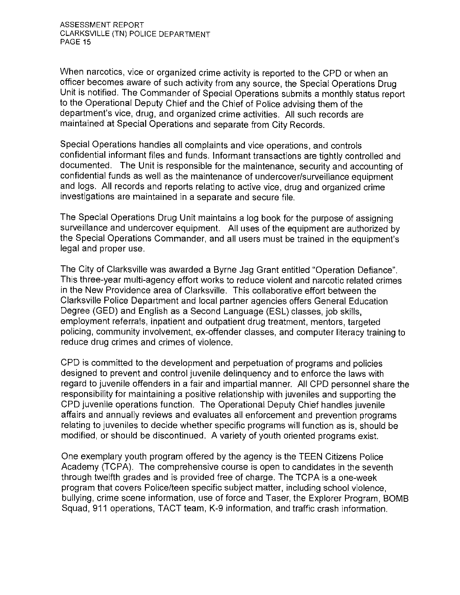When narcotics, vice or organized crime activity is reported to the CPD or when an officer becomes aware of such activity from any source, the Special Operations Drug Unit is notified. The Commander of Special Operations submits a monthly status report to the Operational Deputy Chief and the Chief of Police advising them of the department's vice, drug, and organized crime activities. All such records are maintained at Special Operations and separate from City Records.

Special Operations handles all complaints and vice operations, and controls confidential informant files and funds. Informant transactions are tightly controlled and documented. The Unit is responsible for the maintenance, security and accounting of confidential funds as well as the maintenance of undercover/surveillance equipment and logs. All records and reports relating to active vice, drug and organized crime investigations are maintained in a separate and secure file.

The Special Operations Drug Unit maintains a log book for the purpose of assigning surveillance and undercover equipment. All uses of the equipment are authorized by the Special Operations Commander, and all users must be trained in the equipment's legal and proper use.

The City of Clarksville was awarded a Byrne Jag Grant entitled "Operation Defiance". This three-year multi-agency effort works to reduce violent and narcotic related crimes in the New Providence area of Clarksville. This collaborative effort between the Clarksville Police Department and local partner agencies offers General Education Degree (GED) and English as a Second Language (ESL) classes, job skills, employment referrals, inpatient and outpatient drug treatment, mentors, targeted policing, community involvement, ex-offender classes, and computer literacy training to reduce drug crimes and crimes of violence.

CPD is committed to the development and perpetuation of programs and policies designed to prevent and control juvenile delinquency and to enforce the laws with regard to juvenile offenders in a fair and impartial manner. All CPD personnel share the responsibility for maintaining a positive relationship with juveniles and supporting the CPD juvenile operations function. The Operational Deputy Chief handles juvenile affairs and annually reviews and evaluates all enforcement and prevention programs relating to juveniles to decide whether specific programs will function as is, should be modified, or should be discontinued. A variety of youth oriented programs exist.

One exemplary youth program offered by the agency is the TEEN Citizens Police Academy (TCPA). The comprehensive course is open to candidates in the seventh through twelfth grades and is provided free of charge. The TCPA is a one-week program that covers Police/teen specific subject matter, including school violence, bullying, crime scene information, use of force and Taser, the Explorer Program, BOMB Squad, 911 operations, TACT team, K-9 information, and traffic crash information.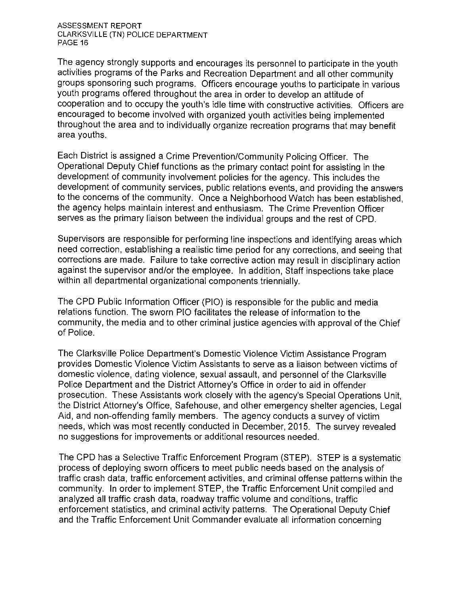The agency strongly supports and encourages its personnel to participate in the youth activities programs of the Parks and Recreation Department and all other community groups sponsoring such programs. Officers encourage youths to participate in various youth programs offered throughout the area in order to develop an attitude of cooperation and to occupy the youth's idle time with constructive activities. Officers are encouraged to become involved with organized youth activities being implemented throughout the area and to individually organize recreation programs that may benefit area youths.

Each District is assigned a Crime Prevention/Community Policing Officer. The Operational Deputy Chief functions as the primary contact point for assisting in the development of community involvement policies for the agency. This includes the development of community services, public relations events, and providing the answers to the concerns of the community. Once a Neighborhood Watch has been established. the agency helps maintain interest and enthusiasm. The Crime Prevention Officer serves as the primary liaison between the individual groups and the rest of CPD.

Supervisors are responsible for performing line inspections and identifying areas which need correction, establishing a realistic time period for any corrections, and seeing that corrections are made. Failure to take corrective action may result in disciplinary action against the supervisor and/or the employee. In addition, Staff inspections take place within all departmental organizational components triennially.

The CPD Public Information Officer (PIO) is responsible for the public and media relations function. The sworn PIO facilitates the release of information to the community, the media and to other criminal justice agencies with approval of the Chief of Police.

The Clarksville Police Department's Domestic Violence Victim Assistance Program provides Domestic Violence Victim Assistants to serve as a liaison between victims of domestic violence, dating violence, sexual assault, and personnel of the Clarksville Police Department and the District Attorney's Office in order to aid in offender prosecution. These Assistants work closely with the agency's Special Operations Unit. the District Attorney's Office, Safehouse, and other emergency shelter agencies, Legal Aid, and non-offending family members. The agency conducts a survey of victim needs, which was most recently conducted in December, 2015. The survey revealed no suggestions for improvements or additional resources needed.

The CPD has a Selective Traffic Enforcement Program (STEP). STEP is a systematic process of deploying sworn officers to meet public needs based on the analysis of traffic crash data, traffic enforcement activities, and criminal offense patterns within the community. In order to implement STEP, the Traffic Enforcement Unit compiled and analyzed all traffic crash data, roadway traffic volume and conditions, traffic enforcement statistics, and criminal activity patterns. The Operational Deputy Chief and the Traffic Enforcement Unit Commander evaluate all information concerning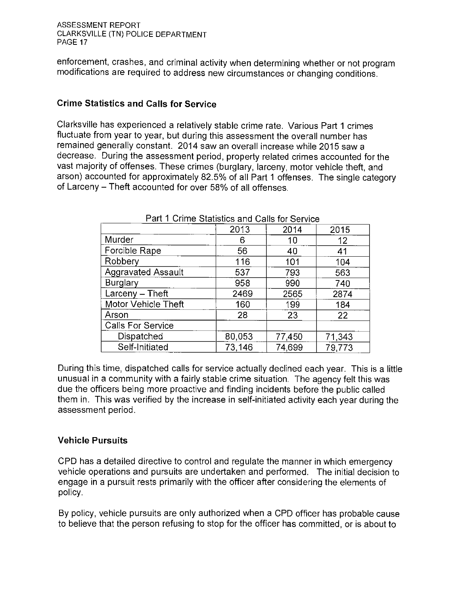enforcement, crashes, and criminal activity when determining whether or not program modifications are required to address new circumstances or changing conditions.

## **Crime Statistics and Calls for Service**

Clarksville has experienced a relatively stable crime rate. Various Part 1 crimes fluctuate from year to year, but during this assessment the overall number has remained generally constant. 2014 saw an overall increase while 2015 saw a decrease. During the assessment period, property related crimes accounted for the vast majority of offenses. These crimes (burglary, larceny, motor vehicle theft, and arson) accounted for approximately 82.5% of all Part 1 offenses. The single category of Larceny – Theft accounted for over 58% of all offenses.

|                           | 2013   | 2014   | 2015   |
|---------------------------|--------|--------|--------|
| Murder                    | 6      | 10     | 12     |
| Forcible Rape             | 56     | 40     | 41     |
| Robbery                   | 116    | 101    | 104    |
| <b>Aggravated Assault</b> | 537    | 793    | 563    |
| <b>Burglary</b>           | 958    | 990    | 740    |
| $Larceny - Theft$         | 2469   | 2565   | 2874   |
| Motor Vehicle Theft       | 160    | 199    | 184    |
| Arson                     | 28     | 23     | 22     |
| <b>Calls For Service</b>  |        |        |        |
| Dispatched                | 80,053 | 77450  | 71,343 |
| Self-Initiated            | 73,146 | 74.699 | 79,773 |

#### Part 1 Crime Statistics and Calls for Service

During this time, dispatched calls for service actually declined each year. This is a little unusual in a community with a fairly stable crime situation. The agency felt this was due the officers being more proactive and finding incidents before the public called them in. This was verified by the increase in self-initiated activity each year during the assessment period.

#### **Vehicle Pursuits**

CPD has a detailed directive to control and regulate the manner in which emergency vehicle operations and pursuits are undertaken and performed. The initial decision to engage in a pursuit rests primarily with the officer after considering the elements of policy.

By policy, vehicle pursuits are only authorized when a CPD officer has probable cause to believe that the person refusing to stop for the officer has committed, or is about to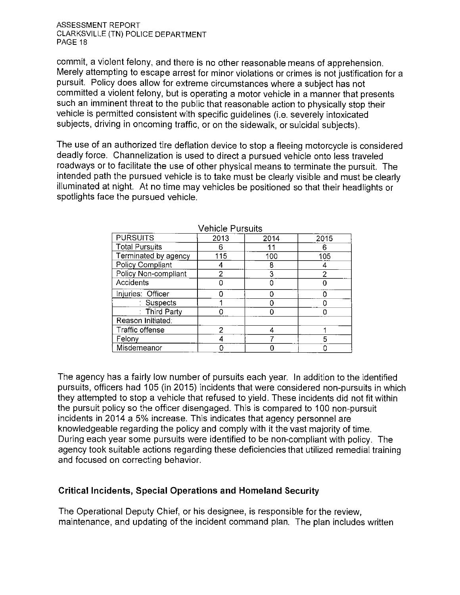commit, a violent felony, and there is no other reasonable means of apprehension. Merely attempting to escape arrest for minor violations or crimes is not justification for a pursuit. Policy does allow for extreme circumstances where a subject has not committed a violent felony, but is operating a motor vehicle in a manner that presents such an imminent threat to the public that reasonable action to physically stop their vehicle is permitted consistent with specific quidelines (i.e. severely intoxicated subjects, driving in oncoming traffic, or on the sidewalk, or suicidal subjects).

The use of an authorized tire deflation device to stop a fleeing motorcycle is considered deadly force. Channelization is used to direct a pursued vehicle onto less traveled roadways or to facilitate the use of other physical means to terminate the pursuit. The intended path the pursued vehicle is to take must be clearly visible and must be clearly illuminated at night. At no time may vehicles be positioned so that their headlights or spotlights face the pursued vehicle.

|                       | ט טוווטוט ו טוטטווט |      |                |
|-----------------------|---------------------|------|----------------|
| <b>PURSUITS</b>       | 2013                | 2014 | 2015           |
| <b>Total Pursuits</b> |                     |      | ĥ              |
| Terminated by agency  | 115                 | 100  | 105            |
| Policy Compliant      |                     | 8    |                |
| Policy Non-compliant  |                     | 3    | $\overline{2}$ |
| Accidents             |                     |      |                |
| Injuries: Officer     |                     |      |                |
| : Suspects            |                     |      |                |
| : Third Party         |                     |      |                |
| Reason Initiated:     |                     |      |                |
| Traffic offense       | 2                   |      |                |
| Felony                |                     |      | 5              |
| Misdemeanor           |                     |      |                |

Vehicle Pursuits

The agency has a fairly low number of pursuits each year. In addition to the identified pursuits, officers had 105 (in 2015) incidents that were considered non-pursuits in which they attempted to stop a vehicle that refused to yield. These incidents did not fit within the pursuit policy so the officer disengaged. This is compared to 100 non-pursuit incidents in 2014 a 5% increase. This indicates that agency personnel are knowledgeable regarding the policy and comply with it the vast majority of time. During each year some pursuits were identified to be non-compliant with policy. The agency took suitable actions regarding these deficiencies that utilized remedial training and focused on correcting behavior.

#### **Critical Incidents, Special Operations and Homeland Security**

The Operational Deputy Chief, or his designee, is responsible for the review, maintenance, and updating of the incident command plan. The plan includes written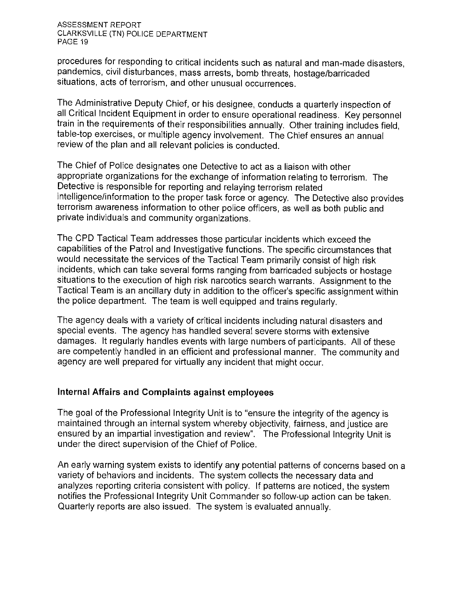procedures for responding to critical incidents such as natural and man-made disasters, pandemics, civil disturbances, mass arrests, bomb threats, hostage/barricaded situations, acts of terrorism, and other unusual occurrences.

The Administrative Deputy Chief, or his designee, conducts a quarterly inspection of all Critical Incident Equipment in order to ensure operational readiness. Key personnel train in the requirements of their responsibilities annually. Other training includes field, table-top exercises, or multiple agency involvement. The Chief ensures an annual review of the plan and all relevant policies is conducted.

The Chief of Police designates one Detective to act as a liaison with other appropriate organizations for the exchange of information relating to terrorism. The Detective is responsible for reporting and relaying terrorism related intelligence/information to the proper task force or agency. The Detective also provides terrorism awareness information to other police officers, as well as both public and private individuals and community organizations.

The CPD Tactical Team addresses those particular incidents which exceed the capabilities of the Patrol and Investigative functions. The specific circumstances that would necessitate the services of the Tactical Team primarily consist of high risk incidents, which can take several forms ranging from barricaded subjects or hostage situations to the execution of high risk narcotics search warrants. Assignment to the Tactical Team is an ancillary duty in addition to the officer's specific assignment within the police department. The team is well equipped and trains requiarly.

The agency deals with a variety of critical incidents including natural disasters and special events. The agency has handled several severe storms with extensive damages. It regularly handles events with large numbers of participants. All of these are competently handled in an efficient and professional manner. The community and agency are well prepared for virtually any incident that might occur.

#### Internal Affairs and Complaints against employees

The goal of the Professional Integrity Unit is to "ensure the integrity of the agency is maintained through an internal system whereby objectivity, fairness, and justice are ensured by an impartial investigation and review". The Professional Integrity Unit is under the direct supervision of the Chief of Police.

An early warning system exists to identify any potential patterns of concerns based on a variety of behaviors and incidents. The system collects the necessary data and analyzes reporting criteria consistent with policy. If patterns are noticed, the system notifies the Professional Integrity Unit Commander so follow-up action can be taken. Quarterly reports are also issued. The system is evaluated annually.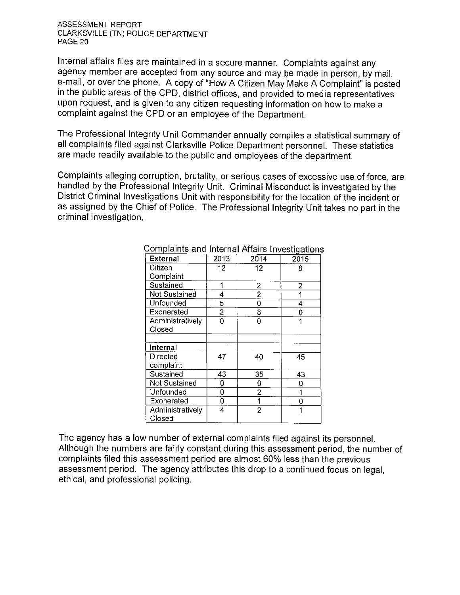Internal affairs files are maintained in a secure manner. Complaints against any agency member are accepted from any source and may be made in person, by mail, e-mail, or over the phone. A copy of "How A Citizen May Make A Complaint" is posted in the public areas of the CPD, district offices, and provided to media representatives upon request, and is given to any citizen requesting information on how to make a complaint against the CPD or an employee of the Department.

The Professional Integrity Unit Commander annually compiles a statistical summary of all complaints filed against Clarksville Police Department personnel. These statistics are made readily available to the public and employees of the department.

Complaints alleging corruption, brutality, or serious cases of excessive use of force, are handled by the Professional Integrity Unit. Criminal Misconduct is investigated by the District Criminal Investigations Unit with responsibility for the location of the incident or as assigned by the Chief of Police. The Professional Integrity Unit takes no part in the criminal investigation.

| <b>External</b>      | 2013           | 2014 | 2015 |
|----------------------|----------------|------|------|
| Citizen              | 12             | 12   | 8    |
| Complaint            |                |      |      |
| Sustained            |                | 2    | 2    |
| Not Sustained        | 4              | 2    |      |
| Unfounded            | 5              | 0    | 4    |
| Exonerated           | $\overline{2}$ | 8    | 0    |
| Administratively     | 0              | 0    |      |
| Closed               |                |      |      |
|                      |                |      |      |
| Internal             |                |      |      |
| Directed             | 47             | 40   | 45   |
| complaint            |                |      |      |
| Sustained            | 43             | 35   | 43   |
| <b>Not Sustained</b> | 0              | 0    | 0    |
| Unfounded            | 0              | 2    | 1    |
| Exonerated           | 0              | 1    | 0    |
| Administratively     | 4              | 2    | 1    |
| Closed               |                |      |      |

#### Complaints and Internal Affairs Investigations

The agency has a low number of external complaints filed against its personnel. Although the numbers are fairly constant during this assessment period, the number of complaints filed this assessment period are almost 60% less than the previous assessment period. The agency attributes this drop to a continued focus on legal. ethical, and professional policing.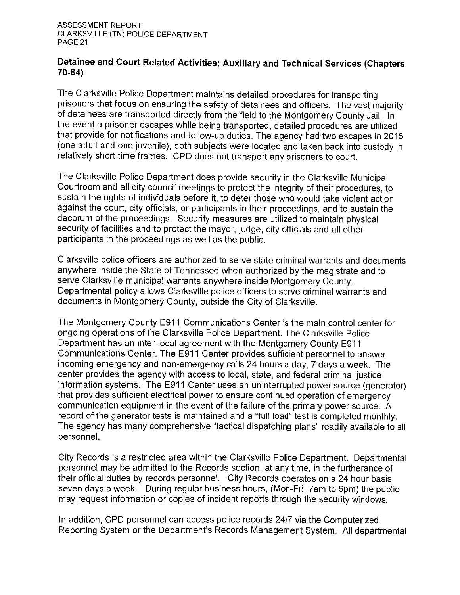#### Detainee and Court Related Activities; Auxiliary and Technical Services (Chapters  $70-84$

The Clarksville Police Department maintains detailed procedures for transporting prisoners that focus on ensuring the safety of detainees and officers. The vast majority of detainees are transported directly from the field to the Montgomery County Jail. In the event a prisoner escapes while being transported, detailed procedures are utilized that provide for notifications and follow-up duties. The agency had two escapes in 2015 (one adult and one juvenile), both subjects were located and taken back into custody in relatively short time frames. CPD does not transport any prisoners to court.

The Clarksville Police Department does provide security in the Clarksville Municipal Courtroom and all city council meetings to protect the integrity of their procedures, to sustain the rights of individuals before it, to deter those who would take violent action against the court, city officials, or participants in their proceedings, and to sustain the decorum of the proceedings. Security measures are utilized to maintain physical security of facilities and to protect the mayor, judge, city officials and all other participants in the proceedings as well as the public.

Clarksville police officers are authorized to serve state criminal warrants and documents anywhere inside the State of Tennessee when authorized by the magistrate and to serve Clarksville municipal warrants anywhere inside Montgomery County. Departmental policy allows Clarksville police officers to serve criminal warrants and documents in Montgomery County, outside the City of Clarksville.

The Montgomery County E911 Communications Center is the main control center for ongoing operations of the Clarksville Police Department. The Clarksville Police Department has an inter-local agreement with the Montgomery County E911 Communications Center. The E911 Center provides sufficient personnel to answer incoming emergency and non-emergency calls 24 hours a day, 7 days a week. The center provides the agency with access to local, state, and federal criminal justice information systems. The E911 Center uses an uninterrupted power source (generator) that provides sufficient electrical power to ensure continued operation of emergency communication equipment in the event of the failure of the primary power source. A record of the generator tests is maintained and a "full load" test is completed monthly. The agency has many comprehensive "tactical dispatching plans" readily available to all personnel.

City Records is a restricted area within the Clarksville Police Department. Departmental personnel may be admitted to the Records section, at any time, in the furtherance of their official duties by records personnel. City Records operates on a 24 hour basis, seven days a week. During regular business hours, (Mon-Fri, 7am to 6pm) the public may request information or copies of incident reports through the security windows.

In addition, CPD personnel can access police records 24/7 via the Computerized Reporting System or the Department's Records Management System. All departmental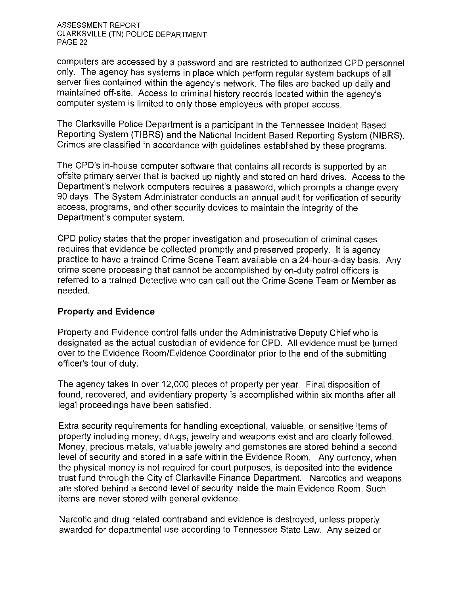computers are accessed by a password and are restricted to authorized CPD personnel only. The agency has systems in place which perform regular system backups of all server files contained within the agency's network. The files are backed up daily and maintained off-site. Access to criminal history records located within the agency's computer system is limited to only those employees with proper access.

The Clarksville Police Department is a participant in the Tennessee Incident Based Reporting System (TIBRS) and the National Incident Based Reporting System (NIBRS). Crimes are classified in accordance with quidelines established by these programs.

The CPD's in-house computer software that contains all records is supported by an offsite primary server that is backed up nightly and stored on hard drives. Access to the Department's network computers requires a password, which prompts a change every 90 days. The System Administrator conducts an annual audit for verification of security access, programs, and other security devices to maintain the integrity of the Department's computer system.

CPD policy states that the proper investigation and prosecution of criminal cases requires that evidence be collected promptly and preserved properly. It is agency practice to have a trained Crime Scene Team available on a 24-hour-a-day basis. Any crime scene processing that cannot be accomplished by on-duty patrol officers is referred to a trained Detective who can call out the Crime Scene Team or Member as needed.

#### **Property and Evidence**

Property and Evidence control falls under the Administrative Deputy Chief who is designated as the actual custodian of evidence for CPD. All evidence must be turned over to the Evidence Room/Evidence Coordinator prior to the end of the submitting officer's tour of duty.

The agency takes in over 12,000 pieces of property per year. Final disposition of found, recovered, and evidentiary property is accomplished within six months after all legal proceedings have been satisfied.

Extra security requirements for handling exceptional, valuable, or sensitive items of property including money, drugs, jewelry and weapons exist and are clearly followed. Money, precious metals, valuable jewelry and gemstones are stored behind a second level of security and stored in a safe within the Evidence Room. Any currency, when the physical money is not required for court purposes, is deposited into the evidence trust fund through the City of Clarksville Finance Department. Narcotics and weapons are stored behind a second level of security inside the main Evidence Room. Such items are never stored with general evidence.

Narcotic and drug related contraband and evidence is destroyed, unless properly awarded for departmental use according to Tennessee State Law. Any seized or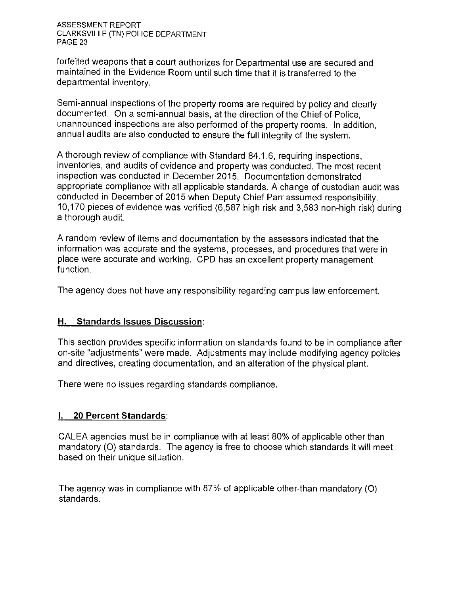forfeited weapons that a court authorizes for Departmental use are secured and maintained in the Evidence Room until such time that it is transferred to the departmental inventory.

Semi-annual inspections of the property rooms are required by policy and clearly documented. On a semi-annual basis, at the direction of the Chief of Police, unannounced inspections are also performed of the property rooms. In addition, annual audits are also conducted to ensure the full integrity of the system.

A thorough review of compliance with Standard 84.1.6, requiring inspections, inventories, and audits of evidence and property was conducted. The most recent inspection was conducted in December 2015. Documentation demonstrated appropriate compliance with all applicable standards. A change of custodian audit was conducted in December of 2015 when Deputy Chief Parr assumed responsibility. 10,170 pieces of evidence was verified (6,587 high risk and 3,583 non-high risk) during a thorough audit.

A random review of items and documentation by the assessors indicated that the information was accurate and the systems, processes, and procedures that were in place were accurate and working. CPD has an excellent property management function.

The agency does not have any responsibility regarding campus law enforcement.

#### H. Standards Issues Discussion:

This section provides specific information on standards found to be in compliance after on-site "adjustments" were made. Adjustments may include modifying agency policies and directives, creating documentation, and an alteration of the physical plant.

There were no issues regarding standards compliance.

#### **I. 20 Percent Standards:**

CALEA agencies must be in compliance with at least 80% of applicable other than mandatory (O) standards. The agency is free to choose which standards it will meet based on their unique situation.

The agency was in compliance with 87% of applicable other-than mandatory (O) standards.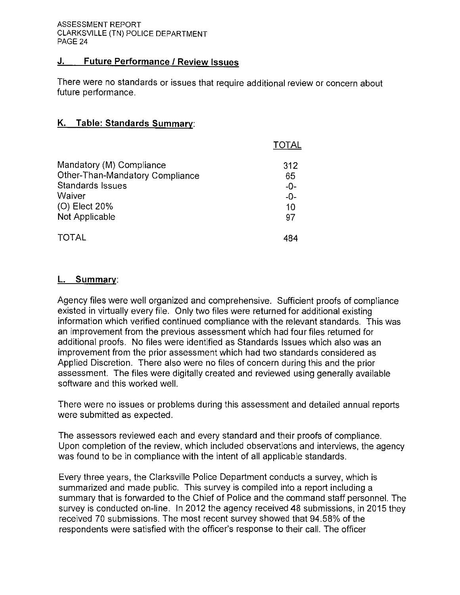#### J. **Future Performance / Review Issues**

There were no standards or issues that require additional review or concern about future performance.

#### K. Table: Standards Summary:

|                                 | <b>TOTAL</b> |
|---------------------------------|--------------|
| Mandatory (M) Compliance        | 312          |
| Other-Than-Mandatory Compliance | 65           |
| <b>Standards Issues</b>         | $-0-$        |
| Waiver                          | $-0-$        |
| (O) Elect 20%                   | 10           |
| Not Applicable                  | 97           |
| <b>TOTAL</b>                    | 484          |

#### L. Summary:

Agency files were well organized and comprehensive. Sufficient proofs of compliance existed in virtually every file. Only two files were returned for additional existing information which verified continued compliance with the relevant standards. This was an improvement from the previous assessment which had four files returned for additional proofs. No files were identified as Standards Issues which also was an improvement from the prior assessment which had two standards considered as Applied Discretion. There also were no files of concern during this and the prior assessment. The files were digitally created and reviewed using generally available software and this worked well.

There were no issues or problems during this assessment and detailed annual reports were submitted as expected.

The assessors reviewed each and every standard and their proofs of compliance. Upon completion of the review, which included observations and interviews, the agency was found to be in compliance with the intent of all applicable standards.

Every three years, the Clarksville Police Department conducts a survey, which is summarized and made public. This survey is compiled into a report including a summary that is forwarded to the Chief of Police and the command staff personnel. The survey is conducted on-line. In 2012 the agency received 48 submissions, in 2015 they received 70 submissions. The most recent survey showed that 94.58% of the respondents were satisfied with the officer's response to their call. The officer